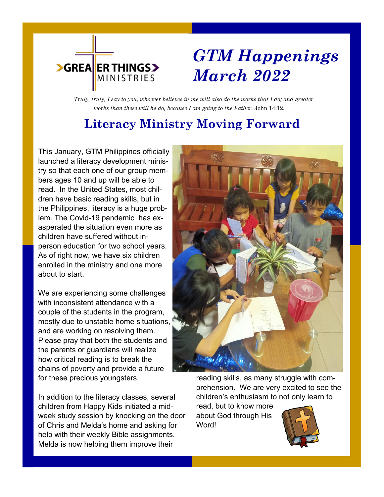

# *GTM Happenings March 2022*

*Truly, truly, I say to you, whoever believes in me will also do the works that I do; and greater works than these will he do, because I am going to the Father.* John 14:12.

# **Literacy Ministry Moving Forward**

This January, GTM Philippines officially launched a literacy development ministry so that each one of our group members ages 10 and up will be able to read. In the United States, most children have basic reading skills, but in the Philippines, literacy is a huge problem. The Covid-19 pandemic has exasperated the situation even more as children have suffered without inperson education for two school years. As of right now, we have six children enrolled in the ministry and one more about to start.

We are experiencing some challenges with inconsistent attendance with a couple of the students in the program, mostly due to unstable home situations, and are working on resolving them. Please pray that both the students and the parents or guardians will realize how critical reading is to break the chains of poverty and provide a future for these precious youngsters.

In addition to the literacy classes, several children from Happy Kids initiated a midweek study session by knocking on the door of Chris and Melda's home and asking for help with their weekly Bible assignments. Melda is now helping them improve their



reading skills, as many struggle with comprehension. We are very excited to see the children's enthusiasm to not only learn to

read, but to know more about God through His Word!

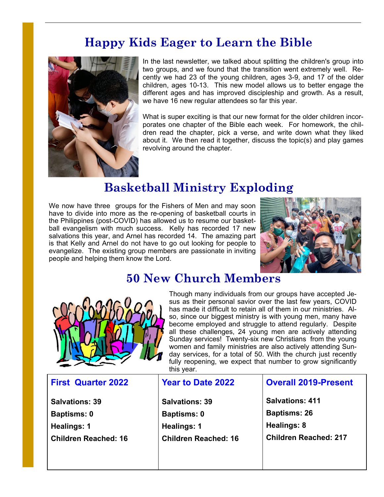### **Happy Kids Eager to Learn the Bible**



In the last newsletter, we talked about splitting the children's group into two groups, and we found that the transition went extremely well. Recently we had 23 of the young children, ages 3-9, and 17 of the older children, ages 10-13. This new model allows us to better engage the different ages and has improved discipleship and growth. As a result, we have 16 new regular attendees so far this year.

What is super exciting is that our new format for the older children incorporates one chapter of the Bible each week. For homework, the children read the chapter, pick a verse, and write down what they liked about it. We then read it together, discuss the topic(s) and play games revolving around the chapter.

### **Basketball Ministry Exploding**

We now have three groups for the Fishers of Men and may soon have to divide into more as the re-opening of basketball courts in the Philippines (post-COVID) has allowed us to resume our basketball evangelism with much success. Kelly has recorded 17 new salvations this year, and Arnel has recorded 14. The amazing part is that Kelly and Arnel do not have to go out looking for people to evangelize. The existing group members are passionate in inviting people and helping them know the Lord.



### **50 New Church Members**



**First Quarter 2022** 

**Salvations: 39 Baptisms: 0 Healings: 1 Children Reached: 16** 

Though many individuals from our groups have accepted Jesus as their personal savior over the last few years, COVID has made it difficult to retain all of them in our ministries. Also, since our biggest ministry is with young men, many have become employed and struggle to attend regularly. Despite all these challenges, 24 young men are actively attending Sunday services! Twenty-six new Christians from the young women and family ministries are also actively attending Sunday services, for a total of 50. With the church just recently fully reopening, we expect that number to grow significantly this year.

#### **Year to Date 2022**

**Salvations: 39 Baptisms: 0 Healings: 1 Children Reached: 16** 

#### **Overall 2019-Present**

**Salvations: 411 Baptisms: 26 Healings: 8 Children Reached: 217**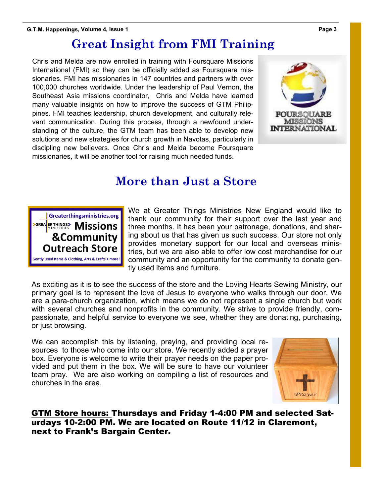## **Great Insight from FMI Training**

Chris and Melda are now enrolled in training with Foursquare Missions International (FMI) so they can be officially added as Foursquare missionaries. FMI has missionaries in 147 countries and partners with over 100,000 churches worldwide. Under the leadership of Paul Vernon, the Southeast Asia missions coordinator, Chris and Melda have learned many valuable insights on how to improve the success of GTM Philippines. FMI teaches leadership, church development, and culturally relevant communication. During this process, through a newfound understanding of the culture, the GTM team has been able to develop new solutions and new strategies for church growth in Navotas, particularly in discipling new believers. Once Chris and Melda become Foursquare missionaries, it will be another tool for raising much needed funds.



## **More than Just a Store**



We at Greater Things Ministries New England would like to thank our community for their support over the last year and three months. It has been your patronage, donations, and sharing about us that has given us such success. Our store not only provides monetary support for our local and overseas ministries, but we are also able to offer low cost merchandise for our community and an opportunity for the community to donate gently used items and furniture.

As exciting as it is to see the success of the store and the Loving Hearts Sewing Ministry, our primary goal is to represent the love of Jesus to everyone who walks through our door. We are a para-church organization, which means we do not represent a single church but work with several churches and nonprofits in the community. We strive to provide friendly, compassionate, and helpful service to everyone we see, whether they are donating, purchasing, or just browsing.

We can accomplish this by listening, praying, and providing local resources to those who come into our store. We recently added a prayer box. Everyone is welcome to write their prayer needs on the paper provided and put them in the box. We will be sure to have our volunteer team pray. We are also working on compiling a list of resources and churches in the area.



GTM Store hours: Thursdays and Friday 1-4:00 PM and selected Saturdays 10-2:00 PM. We are located on Route 11/12 in Claremont, next to Frank's Bargain Center.